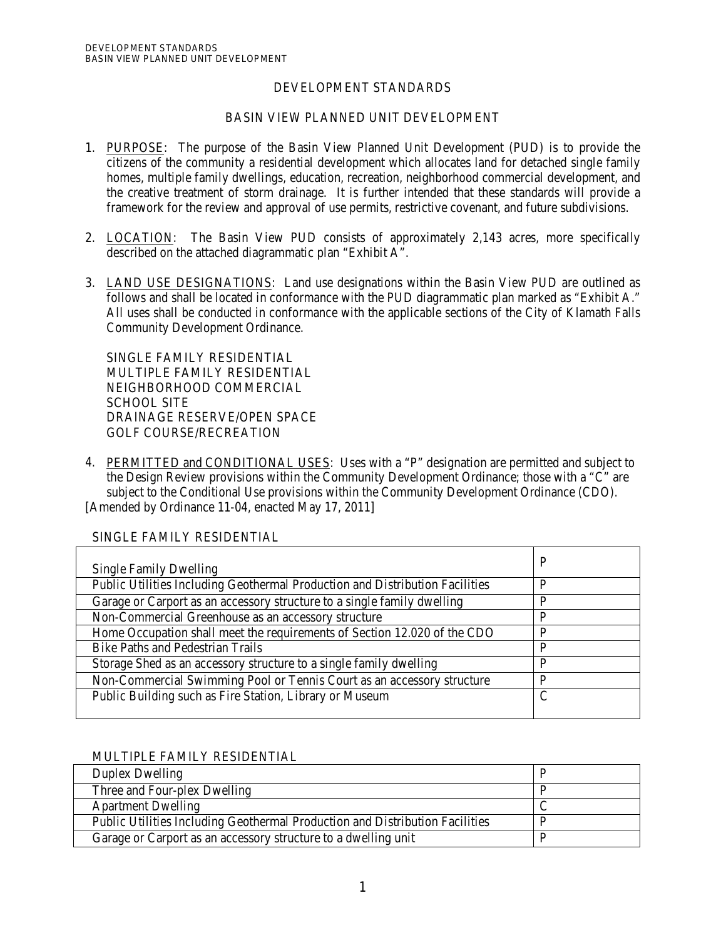## DEVELOPMENT STANDARDS

## BASIN VIEW PLANNED UNIT DEVELOPMENT

- 1. PURPOSE: The purpose of the Basin View Planned Unit Development (PUD) is to provide the citizens of the community a residential development which allocates land for detached single family homes, multiple family dwellings, education, recreation, neighborhood commercial development, and the creative treatment of storm drainage. It is further intended that these standards will provide a framework for the review and approval of use permits, restrictive covenant, and future subdivisions.
- 2. LOCATION: The Basin View PUD consists of approximately 2,143 acres, more specifically described on the attached diagrammatic plan "Exhibit A".
- 3. LAND USE DESIGNATIONS: Land use designations within the Basin View PUD are outlined as follows and shall be located in conformance with the PUD diagrammatic plan marked as "Exhibit A." All uses shall be conducted in conformance with the applicable sections of the City of Klamath Falls Community Development Ordinance.

SINGLE FAMILY RESIDENTIAL MULTIPLE FAMILY RESIDENTIAL NEIGHBORHOOD COMMERCIAL SCHOOL SITE DRAINAGE RESERVE/OPEN SPACE GOLF COURSE/RECREATION

4. PERMITTED and CONDITIONAL USES: Uses with a "P" designation are permitted and subject to the Design Review provisions within the Community Development Ordinance; those with a "C" are subject to the Conditional Use provisions within the Community Development Ordinance (CDO). [Amended by Ordinance 11-04, enacted May 17, 2011]

| <b>Single Family Dwelling</b>                                                | P |
|------------------------------------------------------------------------------|---|
| Public Utilities Including Geothermal Production and Distribution Facilities | P |
| Garage or Carport as an accessory structure to a single family dwelling      | P |
| Non-Commercial Greenhouse as an accessory structure                          | P |
| Home Occupation shall meet the requirements of Section 12.020 of the CDO     | P |
| <b>Bike Paths and Pedestrian Trails</b>                                      | P |
| Storage Shed as an accessory structure to a single family dwelling           | P |
| Non-Commercial Swimming Pool or Tennis Court as an accessory structure       | D |
| Public Building such as Fire Station, Library or Museum                      | C |
|                                                                              |   |

### SINGLE FAMILY RESIDENTIAL

### MULTIPLE FAMILY RESIDENTIAL

| Duplex Dwelling                                                              |  |
|------------------------------------------------------------------------------|--|
| Three and Four-plex Dwelling                                                 |  |
| <b>Apartment Dwelling</b>                                                    |  |
| Public Utilities Including Geothermal Production and Distribution Facilities |  |
| Garage or Carport as an accessory structure to a dwelling unit               |  |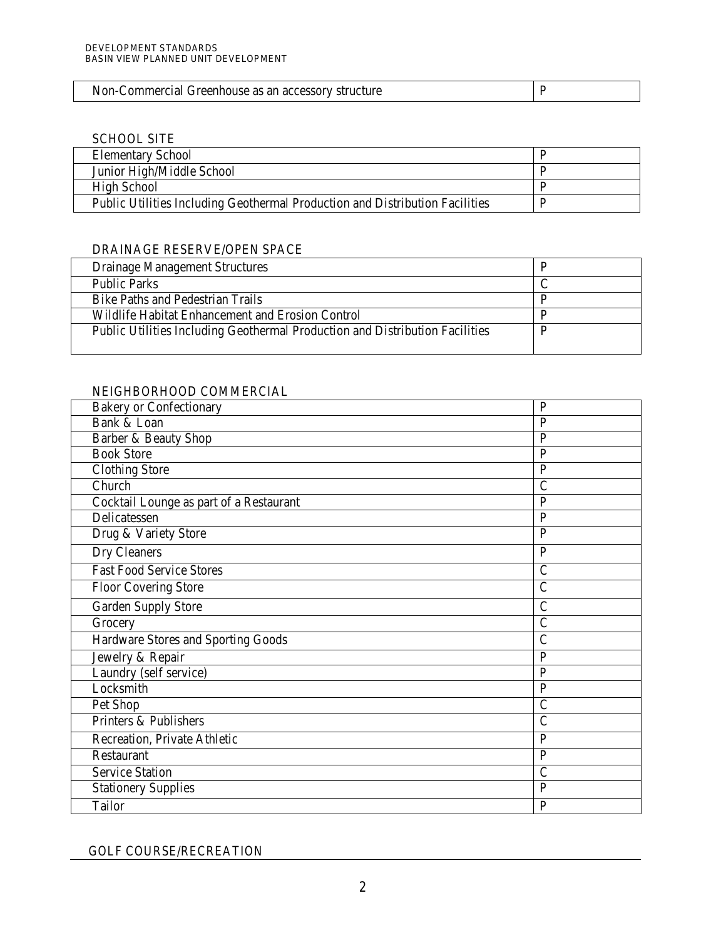| Non-Commercial Greenhouse as an accessory structure |  |
|-----------------------------------------------------|--|
|-----------------------------------------------------|--|

## SCHOOL SITE

| <b>Elementary School</b>                                                     |  |
|------------------------------------------------------------------------------|--|
| Junior High/Middle School                                                    |  |
| High School                                                                  |  |
| Public Utilities Including Geothermal Production and Distribution Facilities |  |

# DRAINAGE RESERVE/OPEN SPACE

| Drainage Management Structures                                               |  |
|------------------------------------------------------------------------------|--|
| <b>Public Parks</b>                                                          |  |
| Bike Paths and Pedestrian Trails                                             |  |
| Wildlife Habitat Enhancement and Erosion Control                             |  |
| Public Utilities Including Geothermal Production and Distribution Facilities |  |

## NEIGHBORHOOD COMMERCIAL

| <b>Bakery or Confectionary</b>          | $\mathbf{P}$   |
|-----------------------------------------|----------------|
| Bank & Loan                             | $\overline{P}$ |
| Barber & Beauty Shop                    | $\mathbf P$    |
| <b>Book Store</b>                       | $\mathbf{P}$   |
| <b>Clothing Store</b>                   | $\mathbf{P}$   |
| Church                                  | $\overline{C}$ |
| Cocktail Lounge as part of a Restaurant | $\overline{P}$ |
| Delicatessen                            | $\overline{P}$ |
| Drug & Variety Store                    | $\overline{P}$ |
| Dry Cleaners                            | $\mathbf{P}$   |
| <b>Fast Food Service Stores</b>         | $\mathcal{C}$  |
| <b>Floor Covering Store</b>             | $\overline{C}$ |
| <b>Garden Supply Store</b>              | $\overline{C}$ |
| Grocery                                 | $\overline{C}$ |
| Hardware Stores and Sporting Goods      | $\overline{C}$ |
| Jewelry & Repair                        | $\mathbf{P}$   |
| Laundry (self service)                  | $\overline{P}$ |
| Locksmith                               | $\overline{P}$ |
| Pet Shop                                | $\overline{C}$ |
| Printers & Publishers                   | $\mathsf{C}$   |
| Recreation, Private Athletic            | $\mathbf{P}$   |
| Restaurant                              | $\overline{P}$ |
| <b>Service Station</b>                  | $\overline{C}$ |
| <b>Stationery Supplies</b>              | $\mathbf{P}$   |
| Tailor                                  | ${\bf P}$      |

GOLF COURSE/RECREATION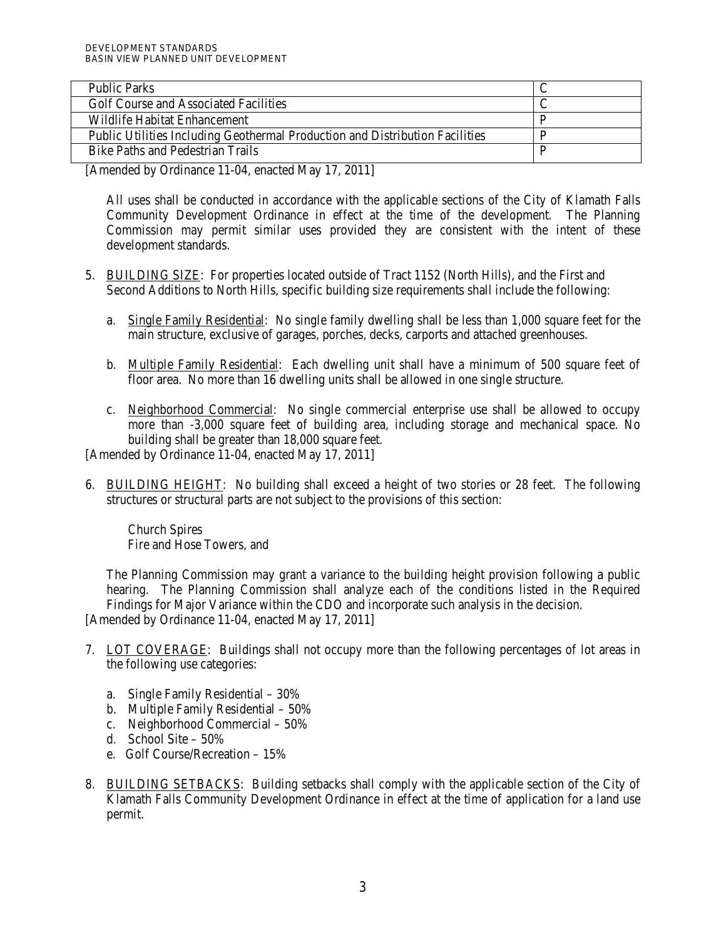| <b>Public Parks</b>                                                          |  |
|------------------------------------------------------------------------------|--|
| Golf Course and Associated Facilities                                        |  |
| Wildlife Habitat Enhancement                                                 |  |
| Public Utilities Including Geothermal Production and Distribution Facilities |  |
| <b>Bike Paths and Pedestrian Trails</b>                                      |  |

[Amended by Ordinance 11-04, enacted May 17, 2011]

All uses shall be conducted in accordance with the applicable sections of the City of Klamath Falls Community Development Ordinance in effect at the time of the development. The Planning Commission may permit similar uses provided they are consistent with the intent of these development standards.

- 5. BUILDING SIZE: For properties located outside of Tract 1152 (North Hills), and the First and Second Additions to North Hills, specific building size requirements shall include the following:
	- a. Single Family Residential: No single family dwelling shall be less than 1,000 square feet for the main structure, exclusive of garages, porches, decks, carports and attached greenhouses.
	- b. Multiple Family Residential: Each dwelling unit shall have a minimum of 500 square feet of floor area. No more than 16 dwelling units shall be allowed in one single structure.
	- c. Neighborhood Commercial: No single commercial enterprise use shall be allowed to occupy more than -3,000 square feet of building area, including storage and mechanical space. No building shall be greater than 18,000 square feet.

[Amended by Ordinance 11-04, enacted May 17, 2011]

6. BUILDING HEIGHT: No building shall exceed a height of two stories or 28 feet. The following structures or structural parts are not subject to the provisions of this section:

Church Spires Fire and Hose Towers, and

The Planning Commission may grant a variance to the building height provision following a public hearing. The Planning Commission shall analyze each of the conditions listed in the Required Findings for Major Variance within the CDO and incorporate such analysis in the decision. [Amended by Ordinance 11-04, enacted May 17, 2011]

- 7. LOT COVERAGE: Buildings shall not occupy more than the following percentages of lot areas in the following use categories:
	- a. Single Family Residential 30%
	- b. Multiple Family Residential 50%
	- c. Neighborhood Commercial 50%
	- d. School Site 50%
	- e. Golf Course/Recreation 15%
- 8. BUILDING SETBACKS: Building setbacks shall comply with the applicable section of the City of Klamath Falls Community Development Ordinance in effect at the time of application for a land use permit.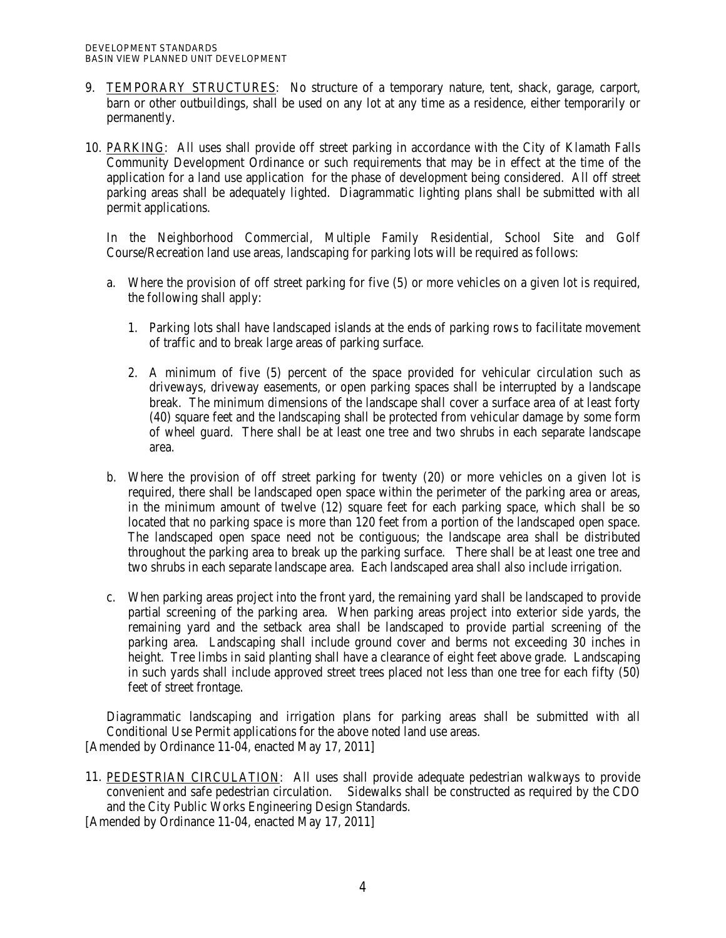- 9. TEMPORARY STRUCTURES: No structure of a temporary nature, tent, shack, garage, carport, barn or other outbuildings, shall be used on any lot at any time as a residence, either temporarily or permanently.
- 10. PARKING: All uses shall provide off street parking in accordance with the City of Klamath Falls Community Development Ordinance or such requirements that may be in effect at the time of the application for a land use application for the phase of development being considered. All off street parking areas shall be adequately lighted. Diagrammatic lighting plans shall be submitted with all permit applications.

In the Neighborhood Commercial, Multiple Family Residential, School Site and Golf Course/Recreation land use areas, landscaping for parking lots will be required as follows:

- a. Where the provision of off street parking for five (5) or more vehicles on a given lot is required, the following shall apply:
	- 1. Parking lots shall have landscaped islands at the ends of parking rows to facilitate movement of traffic and to break large areas of parking surface.
	- 2. A minimum of five (5) percent of the space provided for vehicular circulation such as driveways, driveway easements, or open parking spaces shall be interrupted by a landscape break. The minimum dimensions of the landscape shall cover a surface area of at least forty (40) square feet and the landscaping shall be protected from vehicular damage by some form of wheel guard. There shall be at least one tree and two shrubs in each separate landscape area.
- b. Where the provision of off street parking for twenty (20) or more vehicles on a given lot is required, there shall be landscaped open space within the perimeter of the parking area or areas, in the minimum amount of twelve (12) square feet for each parking space, which shall be so located that no parking space is more than 120 feet from a portion of the landscaped open space. The landscaped open space need not be contiguous; the landscape area shall be distributed throughout the parking area to break up the parking surface. There shall be at least one tree and two shrubs in each separate landscape area. Each landscaped area shall also include irrigation.
- c. When parking areas project into the front yard, the remaining yard shall be landscaped to provide partial screening of the parking area. When parking areas project into exterior side yards, the remaining yard and the setback area shall be landscaped to provide partial screening of the parking area. Landscaping shall include ground cover and berms not exceeding 30 inches in height. Tree limbs in said planting shall have a clearance of eight feet above grade. Landscaping in such yards shall include approved street trees placed not less than one tree for each fifty (50) feet of street frontage.

Diagrammatic landscaping and irrigation plans for parking areas shall be submitted with all Conditional Use Permit applications for the above noted land use areas. [Amended by Ordinance 11-04, enacted May 17, 2011]

11. PEDESTRIAN CIRCULATION: All uses shall provide adequate pedestrian walkways to provide convenient and safe pedestrian circulation. Sidewalks shall be constructed as required by the CDO and the City Public Works Engineering Design Standards.

[Amended by Ordinance 11-04, enacted May 17, 2011]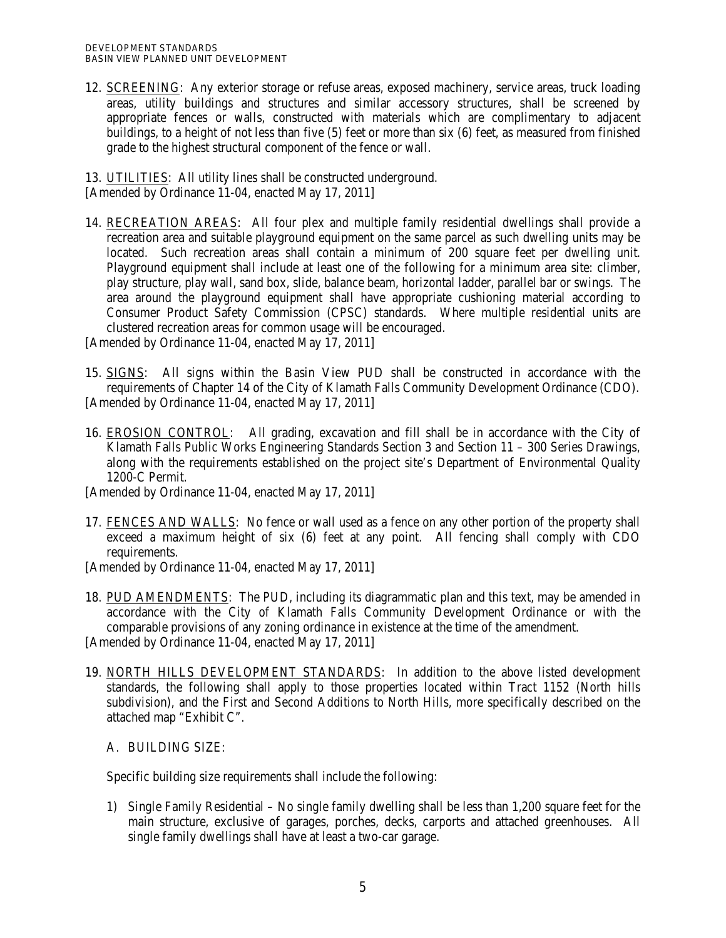12. SCREENING: Any exterior storage or refuse areas, exposed machinery, service areas, truck loading areas, utility buildings and structures and similar accessory structures, shall be screened by appropriate fences or walls, constructed with materials which are complimentary to adjacent buildings, to a height of not less than five (5) feet or more than six (6) feet, as measured from finished grade to the highest structural component of the fence or wall.

13. UTILITIES: All utility lines shall be constructed underground. [Amended by Ordinance 11-04, enacted May 17, 2011]

14. RECREATION AREAS: All four plex and multiple family residential dwellings shall provide a recreation area and suitable playground equipment on the same parcel as such dwelling units may be located. Such recreation areas shall contain a minimum of 200 square feet per dwelling unit. Playground equipment shall include at least one of the following for a minimum area site: climber, play structure, play wall, sand box, slide, balance beam, horizontal ladder, parallel bar or swings. The area around the playground equipment shall have appropriate cushioning material according to Consumer Product Safety Commission (CPSC) standards. Where multiple residential units are clustered recreation areas for common usage will be encouraged.

[Amended by Ordinance 11-04, enacted May 17, 2011]

- 15. SIGNS: All signs within the Basin View PUD shall be constructed in accordance with the requirements of Chapter 14 of the City of Klamath Falls Community Development Ordinance (CDO). [Amended by Ordinance 11-04, enacted May 17, 2011]
- 16. EROSION CONTROL: All grading, excavation and fill shall be in accordance with the City of Klamath Falls Public Works Engineering Standards Section 3 and Section 11 – 300 Series Drawings, along with the requirements established on the project site's Department of Environmental Quality 1200-C Permit.

[Amended by Ordinance 11-04, enacted May 17, 2011]

17. FENCES AND WALLS: No fence or wall used as a fence on any other portion of the property shall exceed a maximum height of six (6) feet at any point. All fencing shall comply with CDO requirements.

[Amended by Ordinance 11-04, enacted May 17, 2011]

18. PUD AMENDMENTS: The PUD, including its diagrammatic plan and this text, may be amended in accordance with the City of Klamath Falls Community Development Ordinance or with the comparable provisions of any zoning ordinance in existence at the time of the amendment.

[Amended by Ordinance 11-04, enacted May 17, 2011]

19. NORTH HILLS DEVELOPMENT STANDARDS: In addition to the above listed development standards, the following shall apply to those properties located within Tract 1152 (North hills subdivision), and the First and Second Additions to North Hills, more specifically described on the attached map "Exhibit C".

A. BUILDING SIZE:

Specific building size requirements shall include the following:

1) Single Family Residential – No single family dwelling shall be less than 1,200 square feet for the main structure, exclusive of garages, porches, decks, carports and attached greenhouses. All single family dwellings shall have at least a two-car garage.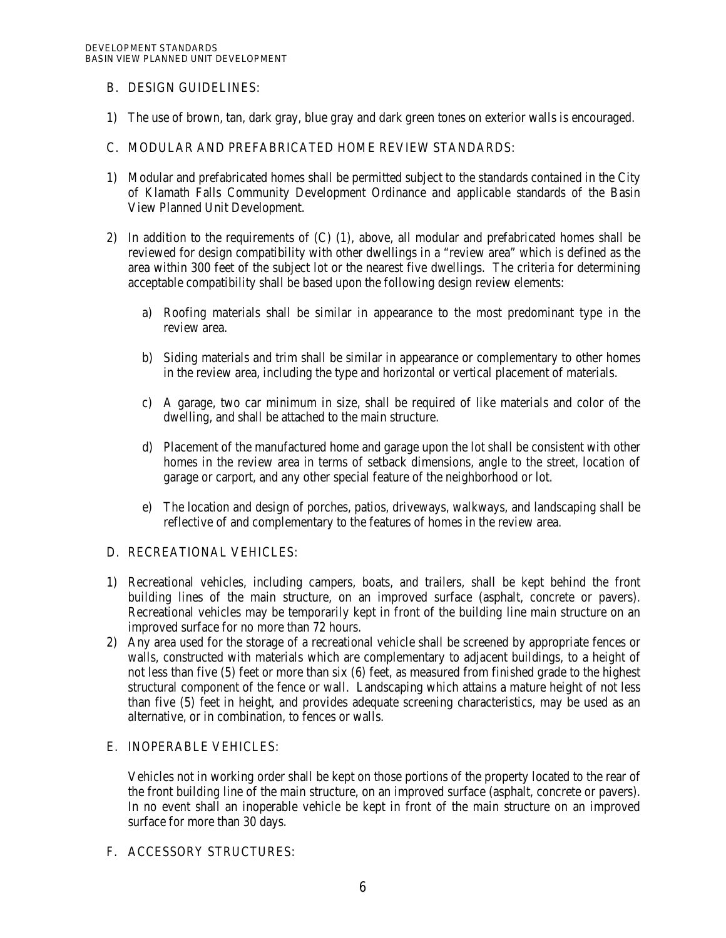## B. DESIGN GUIDELINES:

1) The use of brown, tan, dark gray, blue gray and dark green tones on exterior walls is encouraged.

## C. MODULAR AND PREFABRICATED HOME REVIEW STANDARDS:

- 1) Modular and prefabricated homes shall be permitted subject to the standards contained in the City of Klamath Falls Community Development Ordinance and applicable standards of the Basin View Planned Unit Development.
- 2) In addition to the requirements of (C) (1), above, all modular and prefabricated homes shall be reviewed for design compatibility with other dwellings in a "review area" which is defined as the area within 300 feet of the subject lot or the nearest five dwellings. The criteria for determining acceptable compatibility shall be based upon the following design review elements:
	- a) Roofing materials shall be similar in appearance to the most predominant type in the review area.
	- b) Siding materials and trim shall be similar in appearance or complementary to other homes in the review area, including the type and horizontal or vertical placement of materials.
	- c) A garage, two car minimum in size, shall be required of like materials and color of the dwelling, and shall be attached to the main structure.
	- d) Placement of the manufactured home and garage upon the lot shall be consistent with other homes in the review area in terms of setback dimensions, angle to the street, location of garage or carport, and any other special feature of the neighborhood or lot.
	- e) The location and design of porches, patios, driveways, walkways, and landscaping shall be reflective of and complementary to the features of homes in the review area.

### D. RECREATIONAL VEHICLES:

- 1) Recreational vehicles, including campers, boats, and trailers, shall be kept behind the front building lines of the main structure, on an improved surface (asphalt, concrete or pavers). Recreational vehicles may be temporarily kept in front of the building line main structure on an improved surface for no more than 72 hours.
- 2) Any area used for the storage of a recreational vehicle shall be screened by appropriate fences or walls, constructed with materials which are complementary to adjacent buildings, to a height of not less than five (5) feet or more than six (6) feet, as measured from finished grade to the highest structural component of the fence or wall. Landscaping which attains a mature height of not less than five (5) feet in height, and provides adequate screening characteristics, may be used as an alternative, or in combination, to fences or walls.

### E. INOPERABLE VEHICLES:

Vehicles not in working order shall be kept on those portions of the property located to the rear of the front building line of the main structure, on an improved surface (asphalt, concrete or pavers). In no event shall an inoperable vehicle be kept in front of the main structure on an improved surface for more than 30 days.

## F. ACCESSORY STRUCTURES: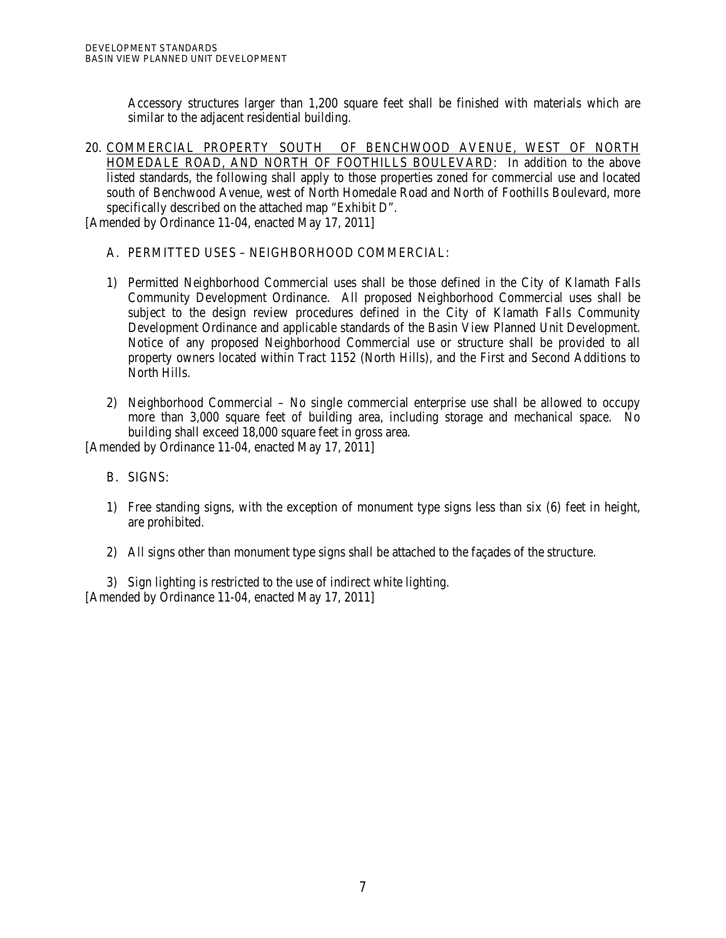Accessory structures larger than 1,200 square feet shall be finished with materials which are similar to the adjacent residential building.

20. COMMERCIAL PROPERTY SOUTH OF BENCHWOOD AVENUE, WEST OF NORTH HOMEDALE ROAD, AND NORTH OF FOOTHILLS BOULEVARD: In addition to the above listed standards, the following shall apply to those properties zoned for commercial use and located south of Benchwood Avenue, west of North Homedale Road and North of Foothills Boulevard, more specifically described on the attached map "Exhibit D".

[Amended by Ordinance 11-04, enacted May 17, 2011]

## A. PERMITTED USES – NEIGHBORHOOD COMMERCIAL:

- 1) Permitted Neighborhood Commercial uses shall be those defined in the City of Klamath Falls Community Development Ordinance. All proposed Neighborhood Commercial uses shall be subject to the design review procedures defined in the City of Klamath Falls Community Development Ordinance and applicable standards of the Basin View Planned Unit Development. Notice of any proposed Neighborhood Commercial use or structure shall be provided to all property owners located within Tract 1152 (North Hills), and the First and Second Additions to North Hills.
- 2) Neighborhood Commercial No single commercial enterprise use shall be allowed to occupy more than 3,000 square feet of building area, including storage and mechanical space. No building shall exceed 18,000 square feet in gross area.

[Amended by Ordinance 11-04, enacted May 17, 2011]

- B. SIGNS:
- 1) Free standing signs, with the exception of monument type signs less than six (6) feet in height, are prohibited.
- 2) All signs other than monument type signs shall be attached to the façades of the structure.

3) Sign lighting is restricted to the use of indirect white lighting. [Amended by Ordinance 11-04, enacted May 17, 2011]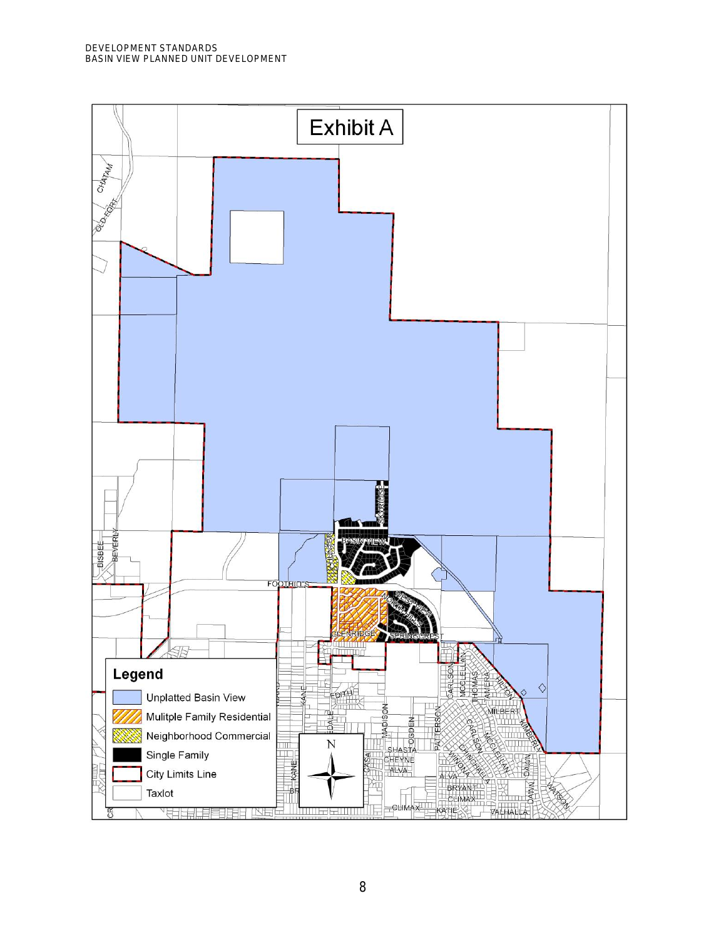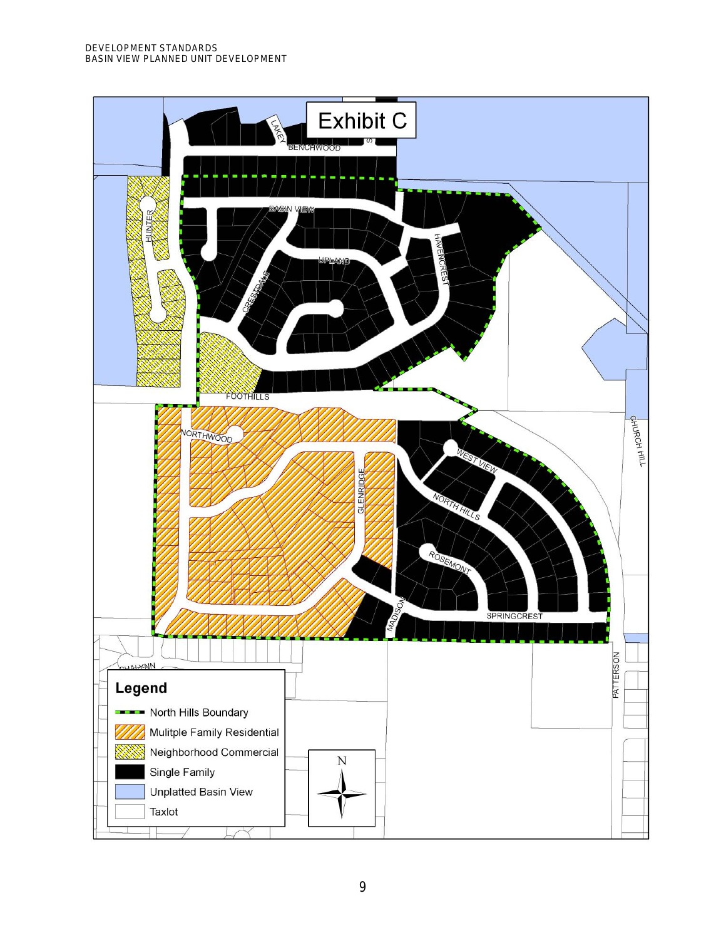DEVELOPMENT STANDARDS BASIN VIEW PLANNED UNIT DEVELOPMENT